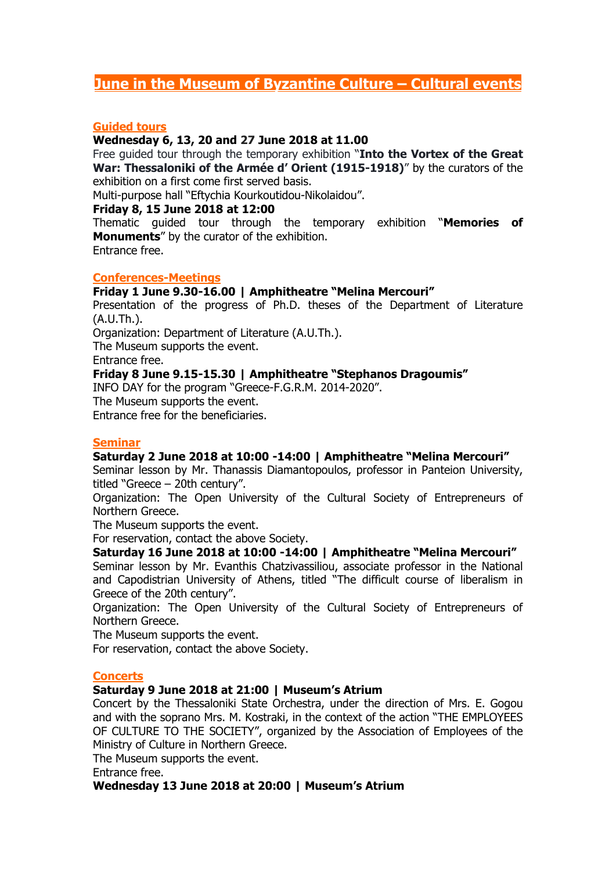# **June in the Museum of Byzantine Culture – Cultural events**

# **Guided tours**

# **Wednesday 6, 13, 20 and 27 June 2018 at 11.00**

Free guided tour through the temporary exhibition "**Into the Vortex of the Great War: Thessaloniki of the Armée d' Orient (1915-1918)**" by the curators of the exhibition on a first come first served basis.

Multi-purpose hall "Eftychia Kourkoutidou-Nikolaidou".

### **Friday 8, 15 June 2018 at 12:00**

Thematic guided tour through the temporary exhibition "**Memories of Monuments**" by the curator of the exhibition.

Entrance free.

### **Conferences-Meetings**

# **Friday 1 June 9.30-16.00 | Amphitheatre "Melina Mercouri"**

Presentation of the progress of Ph.D. theses of the Department of Literature (A.U.Th.).

Organization: Department of Literature (A.U.Th.).

The Museum supports the event.

Entrance free.

# **Friday 8 June 9.15-15.30 | Amphitheatre "Stephanos Dragoumis"**

INFO DAY for the program "Greece-F.G.R.M. 2014-2020".

The Museum supports the event.

Entrance free for the beneficiaries.

# **Seminar**

# **Saturday 2 June 2018 at 10:00 -14:00 | Amphitheatre "Melina Mercouri"**

Seminar lesson by Mr. Thanassis Diamantopoulos, professor in Panteion University, titled "Greece – 20th century".

Organization: The Open University of the Cultural Society of Entrepreneurs of Northern Greece.

The Museum supports the event.

For reservation, contact the above Society.

# **Saturday 16 June 2018 at 10:00 -14:00 | Amphitheatre "Melina Mercouri"**

Seminar lesson by Mr. Evanthis Chatzivassiliou, associate professor in the National and Capodistrian University of Athens, titled "The difficult course of liberalism in Greece of the 20th century".

Organization: The Open University of the Cultural Society of Entrepreneurs of Northern Greece.

The Museum supports the event.

For reservation, contact the above Society.

#### **Concerts**

# **Saturday 9 June 2018 at 21:00 | Museum's Atrium**

Concert by the Thessaloniki State Orchestra, under the direction of Mrs. E. Gogou and with the soprano Mrs. M. Kostraki, in the context of the action "THE EMPLOYEES OF CULTURE TO THE SOCIETY", organized by the Association of Employees of the Ministry of Culture in Northern Greece.

The Museum supports the event.

Entrance free.

# **Wednesday 13 June 2018 at 20:00 | Museum's Atrium**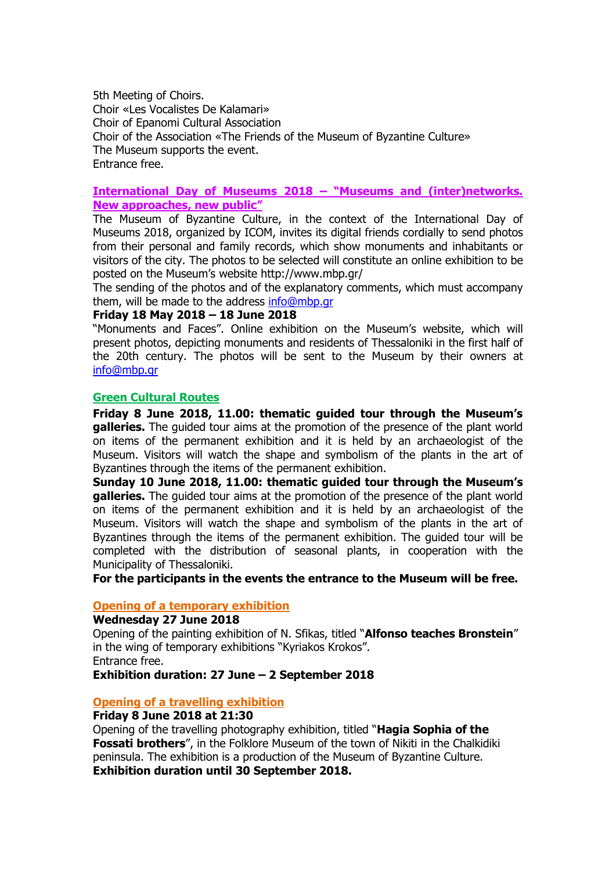5th Meeting of Choirs. Choir «Les Vocalistes De Kalamari» Choir of Epanomi Cultural Association Choir of the Association «The Friends of the Museum of Byzantine Culture» The Museum supports the event. Entrance free.

### **International Day of Museums 2018 – "Museums and (inter)networks. New approaches, new public"**

The Museum of Byzantine Culture, in the context of the International Day of Museums 2018, organized by ICOM, invites its digital friends cordially to send photos from their personal and family records, which show monuments and inhabitants or visitors of the city. The photos to be selected will constitute an online exhibition to be posted on the Museum's website http://www.mbp.gr/

The sending of the photos and of the explanatory comments, which must accompany them, will be made to the address [info@mbp.gr](mailto:info@mbp.gr)

### **Friday 18 May 2018 – 18 June 2018**

"Monuments and Faces". Online exhibition on the Museum's website, which will present photos, depicting monuments and residents of Thessaloniki in the first half of the 20th century. The photos will be sent to the Museum by their owners at [info@mbp.gr](mailto:info@mbp.gr)

#### **Green Cultural Routes**

**Friday 8 June 2018, 11.00: thematic guided tour through the Museum's galleries.** The guided tour aims at the promotion of the presence of the plant world on items of the permanent exhibition and it is held by an archaeologist of the Museum. Visitors will watch the shape and symbolism of the plants in the art of Byzantines through the items of the permanent exhibition.

**Sunday 10 June 2018, 11.00: thematic guided tour through the Museum's galleries.** The guided tour aims at the promotion of the presence of the plant world on items of the permanent exhibition and it is held by an archaeologist of the Museum. Visitors will watch the shape and symbolism of the plants in the art of Byzantines through the items of the permanent exhibition. The guided tour will be completed with the distribution of seasonal plants, in cooperation with the Municipality of Thessaloniki.

**For the participants in the events the entrance to the Museum will be free.**

### **Opening of a temporary exhibition**

#### **Wednesday 27 June 2018**

Opening of the painting exhibition of N. Sfikas, titled "**Alfonso teaches Bronstein**" in the wing of temporary exhibitions "Kyriakos Krokos". Entrance free.

**Exhibition duration: 27 June – 2 September 2018**

# **Opening of a travelling exhibition**

#### **Friday 8 June 2018 at 21:30**

Opening of the travelling photography exhibition, titled "**Hagia Sophia of the Fossati brothers**", in the Folklore Museum of the town of Nikiti in the Chalkidiki peninsula. The exhibition is a production of the Museum of Byzantine Culture. **Exhibition duration until 30 September 2018.**